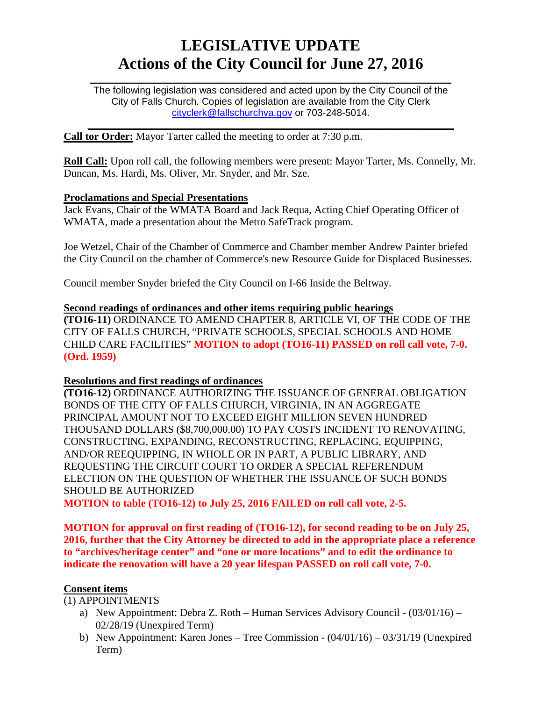# **LEGISLATIVE UPDATE Actions of the City Council for June 27, 2016**

 $\mathcal{L}_\text{max}$  and  $\mathcal{L}_\text{max}$  and  $\mathcal{L}_\text{max}$  and  $\mathcal{L}_\text{max}$  and  $\mathcal{L}_\text{max}$  and  $\mathcal{L}_\text{max}$ The following legislation was considered and acted upon by the City Council of the City of Falls Church. Copies of legislation are available from the City Clerk [cityclerk@fallschurchva.gov](mailto:cityclerk@fallschurchva.gov) or 703-248-5014.

 $\mathcal{L}_\text{max}$  and  $\mathcal{L}_\text{max}$  and  $\mathcal{L}_\text{max}$  and  $\mathcal{L}_\text{max}$  and  $\mathcal{L}_\text{max}$  and  $\mathcal{L}_\text{max}$ 

**Call tor Order:** Mayor Tarter called the meeting to order at 7:30 p.m.

**Roll Call:** Upon roll call, the following members were present: Mayor Tarter, Ms. Connelly, Mr. Duncan, Ms. Hardi, Ms. Oliver, Mr. Snyder, and Mr. Sze.

#### **Proclamations and Special Presentations**

Jack Evans, Chair of the WMATA Board and Jack Requa, Acting Chief Operating Officer of WMATA, made a presentation about the Metro SafeTrack program.

Joe Wetzel, Chair of the Chamber of Commerce and Chamber member Andrew Painter briefed the City Council on the chamber of Commerce's new Resource Guide for Displaced Businesses.

Council member Snyder briefed the City Council on I-66 Inside the Beltway.

### **Second readings of ordinances and other items requiring public hearings**

**(TO16-11)** ORDINANCE TO AMEND CHAPTER 8, ARTICLE VI, OF THE CODE OF THE CITY OF FALLS CHURCH, "PRIVATE SCHOOLS, SPECIAL SCHOOLS AND HOME CHILD CARE FACILITIES" **MOTION to adopt (TO16-11) PASSED on roll call vote, 7-0. (Ord. 1959)**

#### **Resolutions and first readings of ordinances**

**(TO16-12)** ORDINANCE AUTHORIZING THE ISSUANCE OF GENERAL OBLIGATION BONDS OF THE CITY OF FALLS CHURCH, VIRGINIA, IN AN AGGREGATE PRINCIPAL AMOUNT NOT TO EXCEED EIGHT MILLION SEVEN HUNDRED THOUSAND DOLLARS (\$8,700,000.00) TO PAY COSTS INCIDENT TO RENOVATING, CONSTRUCTING, EXPANDING, RECONSTRUCTING, REPLACING, EQUIPPING, AND/OR REEQUIPPING, IN WHOLE OR IN PART, A PUBLIC LIBRARY, AND REQUESTING THE CIRCUIT COURT TO ORDER A SPECIAL REFERENDUM ELECTION ON THE QUESTION OF WHETHER THE ISSUANCE OF SUCH BONDS SHOULD BE AUTHORIZED

**MOTION to table (TO16-12) to July 25, 2016 FAILED on roll call vote, 2-5.**

**MOTION for approval on first reading of (TO16-12), for second reading to be on July 25, 2016, further that the City Attorney be directed to add in the appropriate place a reference to "archives/heritage center" and "one or more locations" and to edit the ordinance to indicate the renovation will have a 20 year lifespan PASSED on roll call vote, 7-0.**

### **Consent items**

(1) APPOINTMENTS

- a) New Appointment: Debra Z. Roth Human Services Advisory Council (03/01/16) 02/28/19 (Unexpired Term)
- b) New Appointment: Karen Jones Tree Commission (04/01/16) 03/31/19 (Unexpired Term)